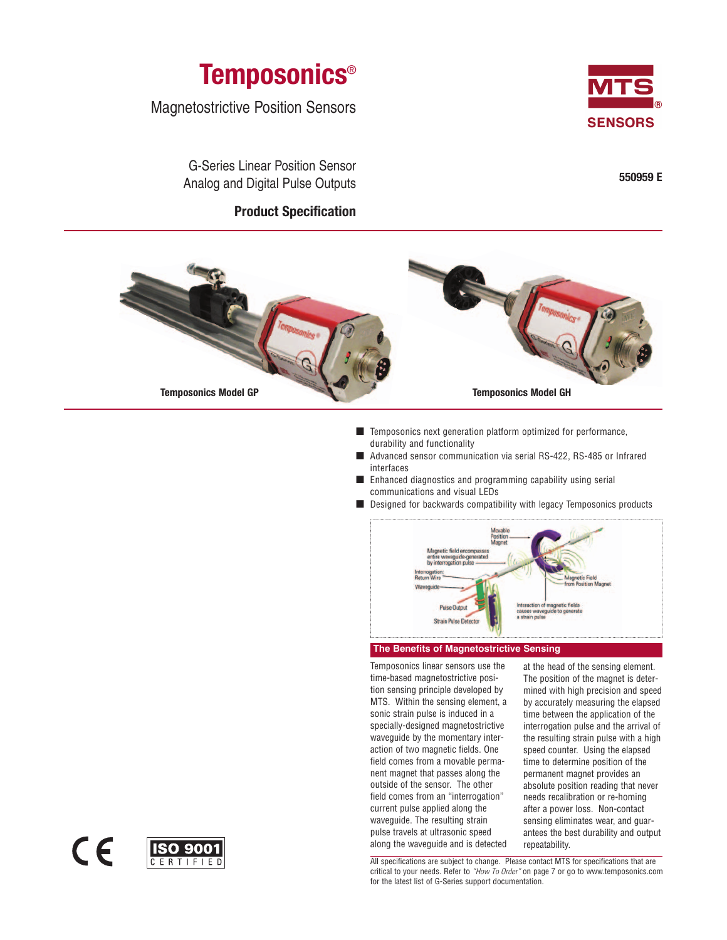

Magnetostrictive Position Sensors



G-Series Linear Position Sensor Analog and Digital Pulse Outputs

# **Product Specification**





- Temposonics next generation platform optimized for performance, durability and functionality
- Advanced sensor communication via serial RS-422, RS-485 or Infrared interfaces
- Enhanced diagnostics and programming capability using serial communications and visual LEDs
- Designed for backwards compatibility with legacy Temposonics products



# **The Benefits of Magnetostrictive Sensing**

Temposonics linear sensors use the time-based magnetostrictive position sensing principle developed by MTS. Within the sensing element, a sonic strain pulse is induced in a specially-designed magnetostrictive waveguide by the momentary interaction of two magnetic fields. One field comes from a movable permanent magnet that passes along the outside of the sensor. The other field comes from an "interrogation" current pulse applied along the waveguide. The resulting strain pulse travels at ultrasonic speed along the waveguide and is detected at the head of the sensing element. The position of the magnet is determined with high precision and speed by accurately measuring the elapsed time between the application of the interrogation pulse and the arrival of the resulting strain pulse with a high speed counter. Using the elapsed time to determine position of the permanent magnet provides an absolute position reading that never needs recalibration or re-homing after a power loss. Non-contact sensing eliminates wear, and guarantees the best durability and output repeatability.

All specifications are subject to change. Please contact MTS for specifications that are critical to your needs. Refer to "How To Order" on page 7 or go to www.temposonics.com for the latest list of G-Series support documentation.

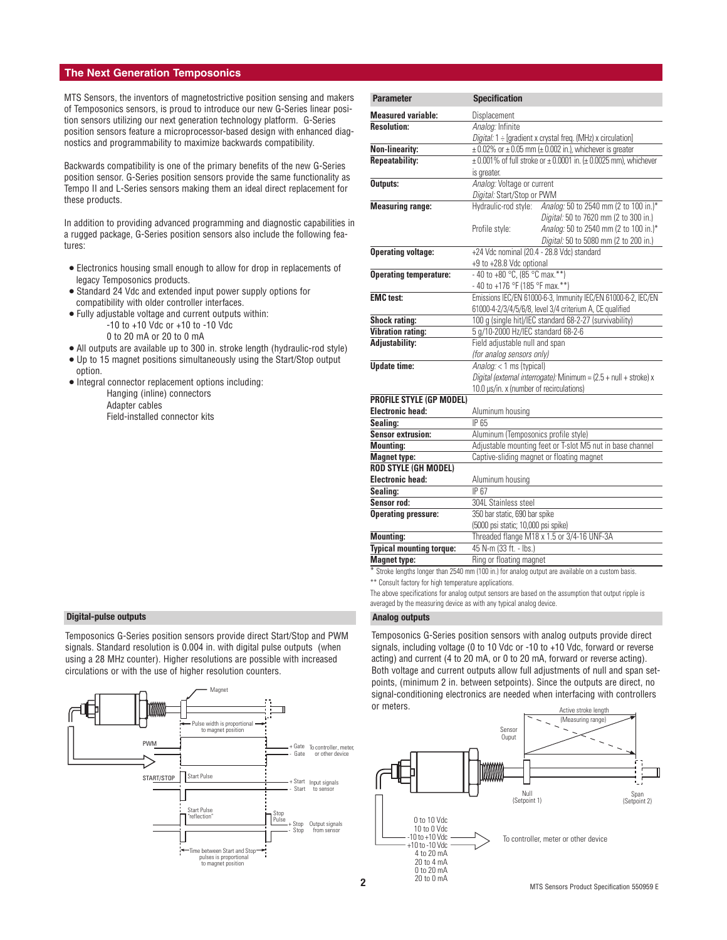# **The Next Generation Temposonics**

MTS Sensors, the inventors of magnetostrictive position sensing and makers of Temposonics sensors, is proud to introduce our new G-Series linear position sensors utilizing our next generation technology platform. G-Series position sensors feature a microprocessor-based design with enhanced diagnostics and programmability to maximize backwards compatibility.

Backwards compatibility is one of the primary benefits of the new G-Series position sensor. G-Series position sensors provide the same functionality as Tempo II and L-Series sensors making them an ideal direct replacement for these products.

In addition to providing advanced programming and diagnostic capabilities in a rugged package, G-Series position sensors also include the following features:

- Electronics housing small enough to allow for drop in replacements of legacy Temposonics products.
- Standard 24 Vdc and extended input power supply options for compatibility with older controller interfaces.
- Fully adjustable voltage and current outputs within:
	- -10 to +10 Vdc or +10 to -10 Vdc
	- 0 to 20 mA or 20 to 0 mA
- All outputs are available up to 300 in. stroke length (hydraulic-rod style)
- Up to 15 magnet positions simultaneously using the Start/Stop output option.
- Integral connector replacement options including: Hanging (inline) connectors Adapter cables Field-installed connector kits

#### **Digital-pulse outputs Analog outputs**

Temposonics G-Series position sensors provide direct Start/Stop and PWM signals. Standard resolution is 0.004 in. with digital pulse outputs (when using a 28 MHz counter). Higher resolutions are possible with increased circulations or with the use of higher resolution counters.



| <b>Parameter</b>                | <b>Specification</b>                                                              |                                                                                                 |  |  |
|---------------------------------|-----------------------------------------------------------------------------------|-------------------------------------------------------------------------------------------------|--|--|
| <b>Measured variable:</b>       | Displacement                                                                      |                                                                                                 |  |  |
| <b>Resolution:</b>              | Analog: Infinite                                                                  |                                                                                                 |  |  |
|                                 | Digital: 1 : [gradient x crystal freq. (MHz) x circulation]                       |                                                                                                 |  |  |
| <b>Non-linearity:</b>           |                                                                                   | $\pm$ 0.02% or $\pm$ 0.05 mm ( $\pm$ 0.002 in.), whichever is greater                           |  |  |
| <b>Repeatability:</b>           | $\pm$ 0.001% of full stroke or $\pm$ 0.0001 in. ( $\pm$ 0.0025 mm), whichever     |                                                                                                 |  |  |
|                                 | is greater.                                                                       |                                                                                                 |  |  |
| Outputs:                        | Analog: Voltage or current                                                        |                                                                                                 |  |  |
|                                 | Digital: Start/Stop or PWM                                                        |                                                                                                 |  |  |
| <b>Measuring range:</b>         | Hydraulic-rod style:                                                              | Analog: 50 to 2540 mm (2 to 100 in.)*                                                           |  |  |
|                                 |                                                                                   | Digital: 50 to 7620 mm (2 to 300 in.)                                                           |  |  |
|                                 | Profile style:                                                                    | Analog: 50 to 2540 mm (2 to 100 in.)*                                                           |  |  |
|                                 |                                                                                   | Digital: 50 to 5080 mm (2 to 200 in.)                                                           |  |  |
| <b>Operating voltage:</b>       | +24 Vdc nominal (20.4 - 28.8 Vdc) standard                                        |                                                                                                 |  |  |
|                                 | +9 to +28.8 Vdc optional                                                          |                                                                                                 |  |  |
| <b>Operating temperature:</b>   | $-40$ to $+80$ °C, (85 °C max.**)                                                 |                                                                                                 |  |  |
|                                 | - 40 to +176 °F (185 °F max.**)                                                   |                                                                                                 |  |  |
| <b>EMC</b> test:                |                                                                                   | Emissions IEC/EN 61000-6-3, Immunity IEC/EN 61000-6-2, IEC/EN                                   |  |  |
|                                 |                                                                                   | 61000-4-2/3/4/5/6/8, level 3/4 criterium A, CE qualified                                        |  |  |
| <b>Shock rating:</b>            |                                                                                   | 100 g (single hit)/IEC standard 68-2-27 (survivability)                                         |  |  |
| <b>Vibration rating:</b>        | 5 g/10-2000 Hz/IEC standard 68-2-6                                                |                                                                                                 |  |  |
| <b>Adjustability:</b>           | Field adjustable null and span                                                    |                                                                                                 |  |  |
|                                 | (for analog sensors only)                                                         |                                                                                                 |  |  |
| <b>Update time:</b>             | Analog: < 1 ms (typical)                                                          |                                                                                                 |  |  |
|                                 |                                                                                   | Digital (external interrogate): Minimum = (2.5 + null + stroke) x                               |  |  |
|                                 | 10.0 µs/in. x (number of recirculations)                                          |                                                                                                 |  |  |
| <b>PROFILE STYLE (GP MODEL)</b> |                                                                                   |                                                                                                 |  |  |
| <b>Electronic head:</b>         | Aluminum housing                                                                  |                                                                                                 |  |  |
| Sealing:                        | IP 65                                                                             |                                                                                                 |  |  |
| <b>Sensor extrusion:</b>        | Aluminum (Temposonics profile style)                                              |                                                                                                 |  |  |
| <b>Mounting:</b>                |                                                                                   | Adjustable mounting feet or T-slot M5 nut in base channel                                       |  |  |
| <b>Magnet type:</b>             | Captive-sliding magnet or floating magnet                                         |                                                                                                 |  |  |
| <b>ROD STYLE (GH MODEL)</b>     |                                                                                   |                                                                                                 |  |  |
| <b>Electronic head:</b>         | Aluminum housing                                                                  |                                                                                                 |  |  |
| Sealing:                        | IP67                                                                              |                                                                                                 |  |  |
| Sensor rod:                     | 304L Stainless steel                                                              |                                                                                                 |  |  |
| <b>Operating pressure:</b>      | 350 bar static, 690 bar spike                                                     |                                                                                                 |  |  |
|                                 | (5000 psi static; 10,000 psi spike)<br>Threaded flange M18 x 1.5 or 3/4-16 UNF-3A |                                                                                                 |  |  |
| <b>Mounting:</b>                |                                                                                   |                                                                                                 |  |  |
| <b>Typical mounting torque:</b> | 45 N-m (33 ft. - lbs.)                                                            |                                                                                                 |  |  |
| <b>Magnet type:</b>             | Ring or floating magnet                                                           |                                                                                                 |  |  |
|                                 |                                                                                   | Stroke lengths longer than 2540 mm (100 in.) for analog output are available on a custom basis. |  |  |

\*\* Consult factory for high temperature applications.

The above specifications for analog output sensors are based on the assumption that output ripple is averaged by the measuring device as with any typical analog device.

Temposonics G-Series position sensors with analog outputs provide direct signals, including voltage (0 to 10 Vdc or -10 to +10 Vdc, forward or reverse acting) and current (4 to 20 mA, or 0 to 20 mA, forward or reverse acting). Both voltage and current outputs allow full adjustments of null and span setpoints, (minimum 2 in. between setpoints). Since the outputs are direct, no signal-conditioning electronics are needed when interfacing with controllers or meters.

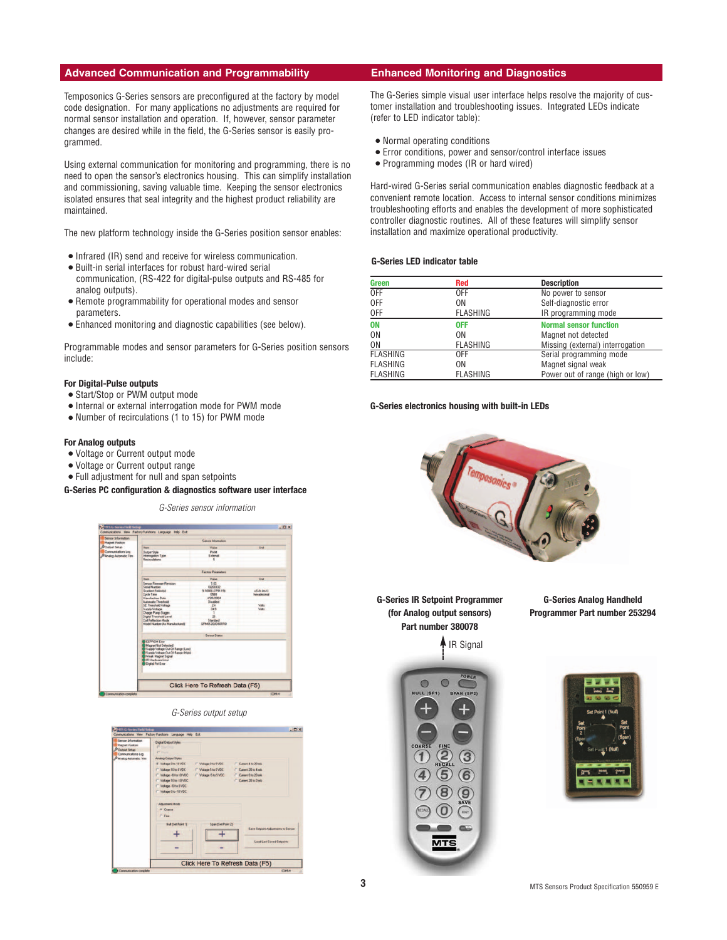# **Advanced Communication and Programmability Enhanced Monitoring and Diagnostics**

Temposonics G-Series sensors are preconfigured at the factory by model code designation. For many applications no adjustments are required for normal sensor installation and operation. If, however, sensor parameter changes are desired while in the field, the G-Series sensor is easily programmed.

Using external communication for monitoring and programming, there is no need to open the sensor's electronics housing. This can simplify installation and commissioning, saving valuable time. Keeping the sensor electronics isolated ensures that seal integrity and the highest product reliability are maintained.

The new platform technology inside the G-Series position sensor enables:

- Infrared (IR) send and receive for wireless communication.
- Built-in serial interfaces for robust hard-wired serial
- communication, (RS-422 for digital-pulse outputs and RS-485 for analog outputs).
- Remote programmability for operational modes and sensor parameters.
- Enhanced monitoring and diagnostic capabilities (see below).

Programmable modes and sensor parameters for G-Series position sensors include:

#### **For Digital-Pulse outputs**

- Start/Stop or PWM output mode
- Internal or external interrogation mode for PWM mode
- Number of recirculations (1 to 15) for PWM mode

## **For Analog outputs**

- Voltage or Current output mode
- Voltage or Current output range
- Full adjustment for null and span setpoints

## **G-Series PC configuration & diagnostics software user interface**

G-Series sensor information



#### G-Series output setup



The G-Series simple visual user interface helps resolve the majority of customer installation and troubleshooting issues. Integrated LEDs indicate (refer to LED indicator table):

- Normal operating conditions
- Error conditions, power and sensor/control interface issues
- Programming modes (IR or hard wired)

Hard-wired G-Series serial communication enables diagnostic feedback at a convenient remote location. Access to internal sensor conditions minimizes troubleshooting efforts and enables the development of more sophisticated controller diagnostic routines. All of these features will simplify sensor installation and maximize operational productivity.

### **G-Series LED indicator table**

| <b>Green</b>    | <b>Red</b>      | <b>Description</b>               |
|-----------------|-----------------|----------------------------------|
| <b>OFF</b>      | <b>OFF</b>      | No power to sensor               |
| 0FF             | 0N              | Self-diagnostic error            |
| 0FF             | <b>FLASHING</b> | IR programming mode              |
| <b>ON</b>       | <b>OFF</b>      | <b>Normal sensor function</b>    |
| 0N              | 0N              | Magnet not detected              |
| 0N              | <b>FLASHING</b> | Missing (external) interrogation |
| <b>FLASHING</b> | 0FF             | Serial programming mode          |
| <b>FLASHING</b> | ΟN              | Magnet signal weak               |
| <b>FLASHING</b> | <b>FLASHING</b> | Power out of range (high or low) |

#### **G-Series electronics housing with built-in LEDs**



**G-Series IR Setpoint Programmer (for Analog output sensors) Part number 380078**

IR Signal

**G-Series Analog Handheld Programmer Part number 253294**



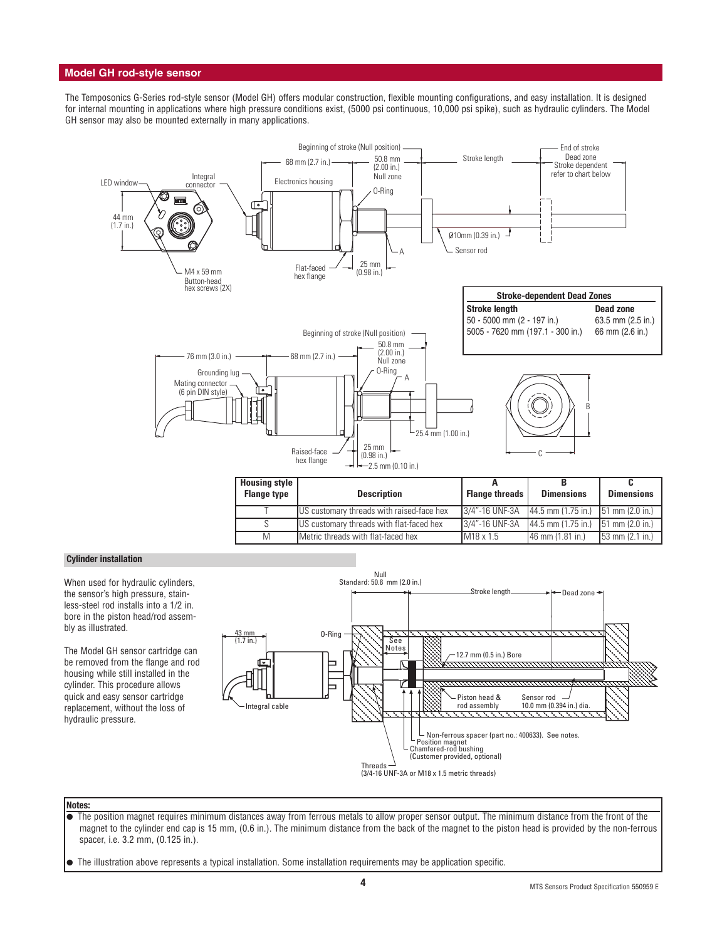# **Model GH rod-style sensor**

The Temposonics G-Series rod-style sensor (Model GH) offers modular construction, flexible mounting configurations, and easy installation. It is designed for internal mounting in applications where high pressure conditions exist, (5000 psi continuous, 10,000 psi spike), such as hydraulic cylinders. The Model GH sensor may also be mounted externally in many applications.



| Housing style<br><b>Flange type</b> | <b>Description</b>                        | <b>Flange threads</b> | <b>Dimensions</b>                      | <b>Dimensions</b>                 |
|-------------------------------------|-------------------------------------------|-----------------------|----------------------------------------|-----------------------------------|
|                                     | US customary threads with raised-face hex | 3/4"-16 UNF-3A        | $144.5$ mm (1.75 in.) 151 mm (2.0 in.) |                                   |
|                                     | US customary threads with flat-faced hex  | 3/4"-16 UNF-3A        | 144.5 mm (1.75 in.)                    | $151 \text{ mm}$ (2.0 in.)        |
| M                                   | Metric threads with flat-faced hex        | $IM18 \times 1.5$     | $146$ mm $(1.81$ in.)                  | $53 \text{ mm} (2.1 \text{ in.})$ |

#### **Cylinder installation**

When used for hydraulic cylinders, the sensor's high pressure, stainless-steel rod installs into a 1/2 in. bore in the piston head/rod assembly as illustrated.

The Model GH sensor cartridge can be removed from the flange and rod housing while still installed in the cylinder. This procedure allows quick and easy sensor cartridge replacement, without the loss of hydraulic pressure.



#### **Notes:**

- The position magnet requires minimum distances away from ferrous metals to allow proper sensor output. The minimum distance from the front of the magnet to the cylinder end cap is 15 mm, (0.6 in.). The minimum distance from the back of the magnet to the piston head is provided by the non-ferrous spacer, i.e. 3.2 mm, (0.125 in.).
- The illustration above represents a typical installation. Some installation requirements may be application specific.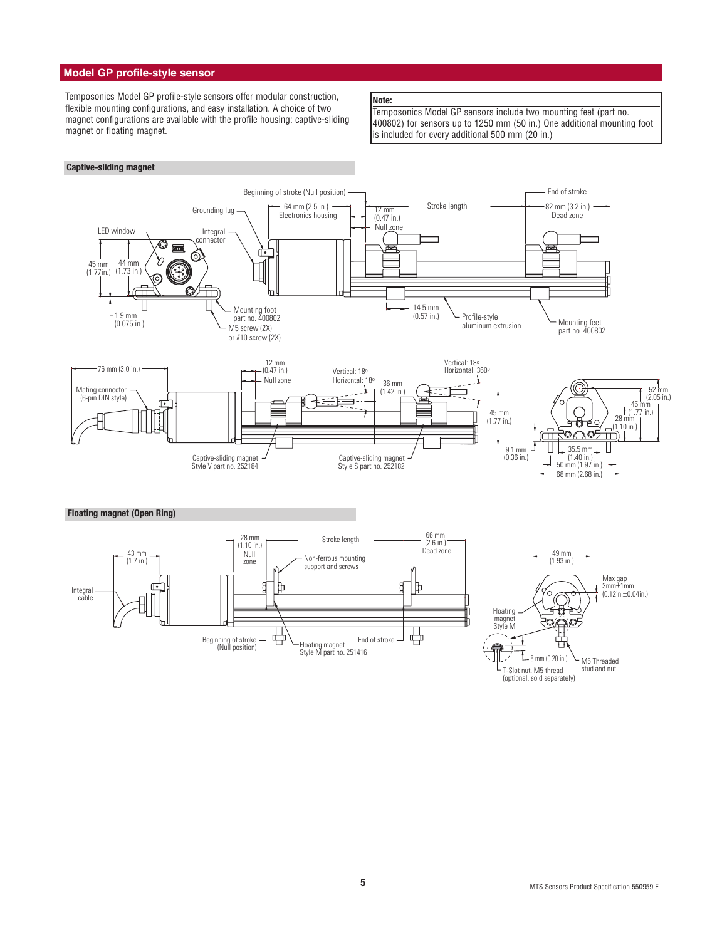# **Model GP profile-style sensor**

**Captive-sliding magnet**

Temposonics Model GP profile-style sensors offer modular construction, flexible mounting configurations, and easy installation. A choice of two magnet configurations are available with the profile housing: captive-sliding magnet or floating magnet.

# **Note:**

Temposonics Model GP sensors include two mounting feet (part no. 400802) for sensors up to 1250 mm (50 in.) One additional mounting foot is included for every additional 500 mm (20 in.)



T-Slot nut, M5 thread (optional, sold separately) stud and nut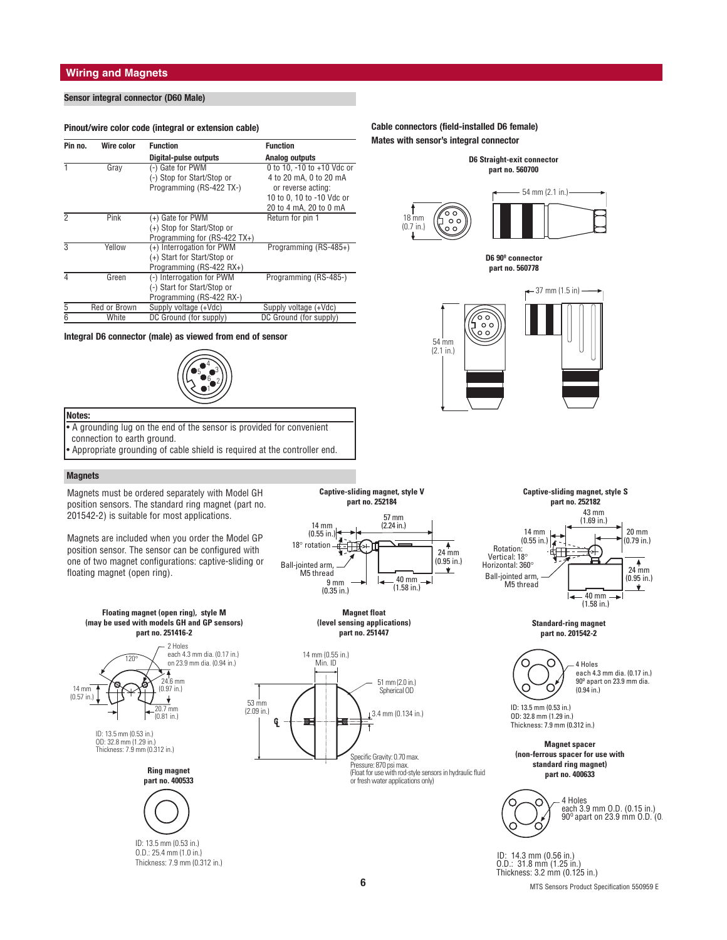# **Wiring and Magnets**

# **Sensor integral connector (D60 Male)**

#### **Pinout/wire color code (integral or extension cable)**

| Pin no. | Wire color   | <b>Function</b>              | <b>Function</b>            |
|---------|--------------|------------------------------|----------------------------|
|         |              |                              |                            |
|         |              | <b>Digital-pulse outputs</b> | Analog outputs             |
|         | Gray         | (-) Gate for PWM             | 0 to 10, -10 to +10 Vdc or |
|         |              | (-) Stop for Start/Stop or   | 4 to 20 mA, 0 to 20 mA     |
|         |              | Programming (RS-422 TX-)     | or reverse acting:         |
|         |              |                              | 10 to 0, 10 to -10 Vdc or  |
|         |              |                              | 20 to 4 mA, 20 to 0 mA     |
|         | Pink         | (+) Gate for PWM             | Return for pin 1           |
|         |              | (+) Stop for Start/Stop or   |                            |
|         |              | Programming for (RS-422 TX+) |                            |
| 3       | Yellow       | (+) Interrogation for PWM    | Programming (RS-485+)      |
|         |              | (+) Start for Start/Stop or  |                            |
|         |              | Programming (RS-422 RX+)     |                            |
|         | Green        | (-) Interrogation for PWM    | Programming (RS-485-)      |
|         |              | (-) Start for Start/Stop or  |                            |
|         |              | Programming (RS-422 RX-)     |                            |
| 5       | Red or Brown | Supply voltage (+Vdc)        | Supply voltage (+Vdc)      |
| 6       | White        | DC Ground (for supply)       | DC Ground (for supply)     |

#### **Integral D6 connector (male) as viewed from end of sensor**



## **Notes:**

• A grounding lug on the end of the sensor is provided for convenient connection to earth ground. • Appropriate grounding of cable shield is required at the controller end.

position sensors. The standard ring magnet (part no.



**Captive-sliding magnet, style V**

**(level sensing applications) part no. 251447**



## **Cable connectors (field-installed D6 female) Mates with sensor's integral connector**





**D6 90º connector part no. 560778**





**Standard-ring magnet part no. 201542-2**



ID: 13.5 mm (0.53 in.) OD: 32.8 mm (1.29 in.) Thickness: 7.9 mm (0.312 in.)

**(non-ferrous spacer for use with standard ring magnet) part no. 400633**



 ID: 14.3 mm (0.56 in.) O.D.: 31.8 mm (1.25 in.) Thickness: 3.2 mm (0.125 in.)

# **Magnets**

Magnets must be ordered separately with Model GH 201542-2) is suitable for most applications.

Magnets are included when you order the Model GP position sensor. The sensor can be configured with one of two magnet configurations: captive-sliding or floating magnet (open ring).







O.D.: 25.4 mm (1.0 in.) Thickness: 7.9 mm (0.312 in.)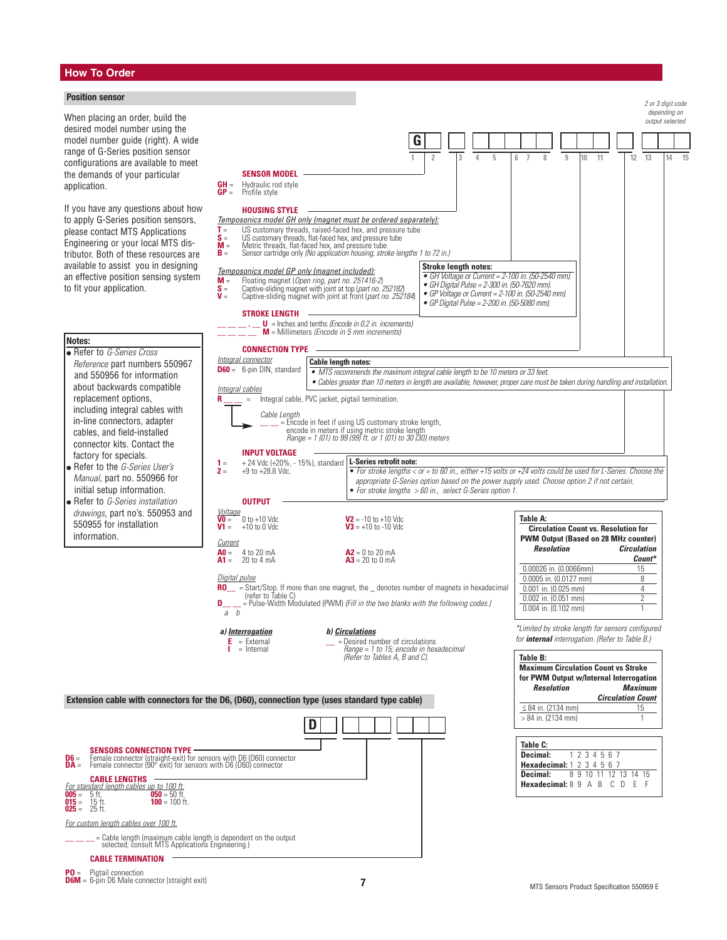# **How To Order**

# **Position sensor**

When placing an order, build the desired model number using the model number guide (right). A wide range of G-Series position sensor configurations are available to meet the demands of your particular application.

If you have any questions about how to apply G-Series position sensors. please contact MTS Applications Engineering or your local MTS distributor. Both of these resources are available to assist you in designing an effective position sensing system to fit your application.

# **Notes:**

- Refer to G-Series Cross Reference part numbers 550967 and 550956 for information about backwards compatible replacement options, including integral cables with in-line connectors, adapter cables, and field-installed connector kits. Contact the factory for specials. ● Refer to the *G-Series User's*
- Manual, part no. 550966 for initial setup information. Refer to G-Series installation
- drawings, part no's. 550953 and 550955 for installation information.

**D6** = **SENSORS CONNECTION TYPE**<br>**D6** = Female connector (straight-exit) for sensors with D6 (D60) connector<br>**DA** = Female connector (90° exit) for sensors with D6 (D60) connector **005** = 5 ft. **050** = 50 ft. **015** = 15 ft. **100** = 100 ft. **SENSOR MODEL GH** = Hydraulic rod style<br>**GP** = Profile style Profile style **HOUSING STYLE** Temposonics model GH only (magnet must be ordered separately): **T** = US customary threads, raised-faced hex, and pressure tube **S** = US customary threads, flat-faced hex, and pressure tube **T** = US customary threads, raised-faced hex, and pressure **M** = Metric threads, flat-faced hex, and pressure tube<br>**M** = Metric threads, flat-faced hex, and pressure tube<br>**R** = Sensor cartridge only *(No anolication housi* **B** Sensor cartridge only (No application housing, stroke lengths 1 to 72 in.) Temposonics model GP only (magnet included): **M** = Floating magnet (*Open ring, part no. 251416-2*)<br> **S** = Captive-sliding magnet with joint at top (*part no. 2*)<br> **V** = Captive-sliding magnet with joint at front (*part n*) **S** = Captive-sliding magnet with joint at top (part no. 252182) **V** = Captive-sliding magnet with joint at front (part no. 252184) **STROKE LENGTH \_\_ \_\_ \_\_ . \_\_ U** = Inches and tenths (Encode in 0.2 in. increments) \_\_ \_\_ \_\_ \_\_ **<sup>M</sup>** = Millimeters (Encode in 5 mm increments) **CONNECTION TYPE** Integral connector **D60** = 6-pin DIN, standard Integral cables **R** \_\_ \_ = Integral cable, PVC jacket, pigtail termination. Cable Length \_\_ \_ = Encode in feet if using US customary stroke length,<br>encode in meters if using metric stroke length<br>*Range = 1 (01) to 99 (99) ft. or 1 (01) to 30 (30) meters* **INPUT VOLTAGE 1** =  $+ 24$  Vdc (+20%, - 15%), standard **L-Series retrofit note:**<br>**2** =  $+9$  to +28.8 Vdc. **OUTPUT** <u>Voltage</u><br>10 = 0 to +10 Vdc **V2** =  $-10$  to +10 Vdc<br> **V1** =  $+10$  to 0 Vdc<br> **V3** =  $+10$  to -10 Vdc  **to -10 Vdc Current A0** = 4 to 20 mA<br> **A1** = 20 to 4 mA<br> **A3** = 20 to 0 mA  $\overline{A3}$  = 20 to 0 mA Digital pulse **RO\_\_** = Start/Stop. If more than one magnet, the \_denotes number of magnets in hexadecimal (refer to Table C) **D\_\_ \_** = Pulse-Width Modulated (PWM) (Fill in the two blanks with the following codes.) **Table A: Circulation Count vs. Resolution for PWM Output (Based on 28 MHz counter) Resolution Circulation Count\*** 0.00026 in. (0.0066mm) 15<br>0.0005 in. (0.0127 mm) 8  $0.0005$  in.  $(0.0127$  mm) 0.001 in. (0.025 mm) 4 0.002 in. (0.051 mm) 2  $\overline{0.004}$  in. (0.102 mm) 2 or 3 digit code depending on output selected **Cable length notes: •** MTS recommends the maximum integral cable length to be 10 meters or 33 feet. • Cables greater than 10 meters in length are available, however, proper care must be taken during handling and installation.  $\overline{a}$   $\overline{b}$ **a) <u>Interrogation</u><br>
<b>E** = External<br> **d** = Internal<br> **d** = Internal<br> **d** = *Range* = 1  $\angle$  = Desired number of circulations **I** = Internal **Range = 1** to 15; encode in hexadecimal <br>(Refer to Tables A, B and C). \*Limited by stroke length for sensors configured for **internal** interrogation. (Refer to Table B.) **G 1 2 3 4 5 6 7 8 9 10 11 12 13 14 15 Stroke length notes:** • GH Voltage or Current = 2-100 in. (50-2540 mm). • GH Digital Pulse = 2-300 in. (50-7620 mm). • GP Voltage or Current = 2-100 in. (50-2540 mm). • GP Digital Pulse = 2-200 in. (50-5080 mm). **Table B: Maximum Circulation Count vs Stroke for PWM Output w/Internal Interrogation**  $$ **Circulation Count**  $\leq 84$  in. (2134 mm) 15  $> 84$  in. (2134 mm) 1 **Extension cable with connectors for the D6, (D60), connection type (uses standard type cable) D** • For stroke lengths < or = to 60 in., either +15 volts or +24 volts could be used for L-Series. Choose the appropriate G-Series option based on the power supply used. Choose option 2 if not certain. • For stroke lengths > 60 in., select G-Series option 1. **Table C: Decimal:** 1 2 3 4 5 6 7 **Hexadecimal:** 1 2 3 4 5 6 7<br>**Decimal:** 8 9 10 11 12 **Decimal:** 8 9 10 11 12 13 14 15 **Hexadecimal:** 8 9 A B C D E F

# **\_\_ \_\_ \_\_** = Cable length (maximum cable length is dependent on the output selected; consult MTS Applications Engineering.)

**CABLE TERMINATION**

**CABLE LENGTHS** For standard length cables up to 100 ft.<br> $\frac{100 \text{ ft}}{100}$  = 5 ft

For custom length cables over 100 ft.

**005** = 5 ft.<br>**015** = 15 ft.<br>**025** = 25 ft.

**PO** = Pigtail connection<br>**D6M** = 6-pin D6 Male connector (straight exit)